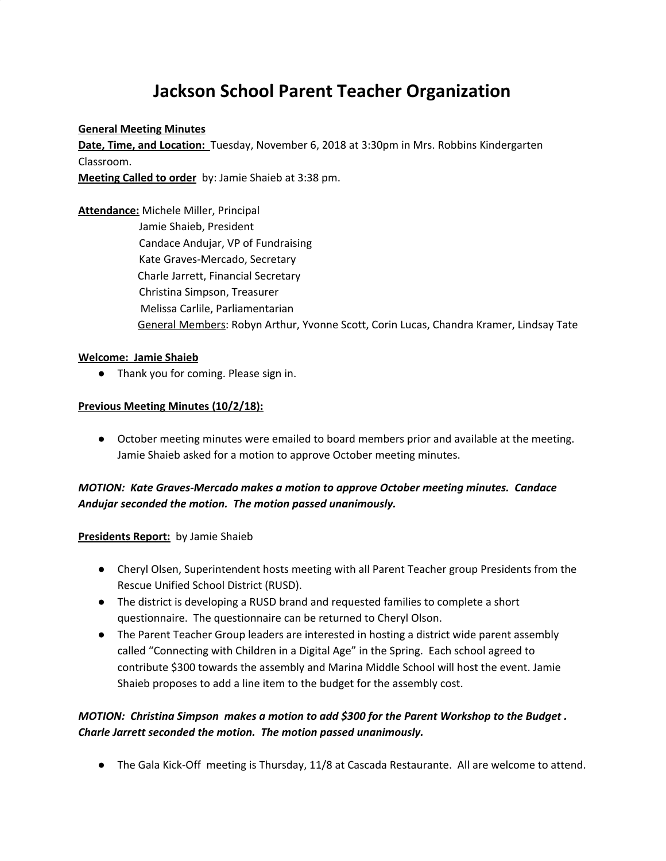# **Jackson School Parent Teacher Organization**

#### **General Meeting Minutes**

**Date, Time, and Location:** Tuesday, November 6, 2018 at 3:30pm in Mrs. Robbins Kindergarten Classroom.

**Meeting Called to order** by: Jamie Shaieb at 3:38 pm.

# **Attendance:** Michele Miller, Principal

Jamie Shaieb, President Candace Andujar, VP of Fundraising Kate Graves-Mercado, Secretary Charle Jarrett, Financial Secretary Christina Simpson, Treasurer Melissa Carlile, Parliamentarian General Members: Robyn Arthur, Yvonne Scott, Corin Lucas, Chandra Kramer, Lindsay Tate

# **Welcome: Jamie Shaieb**

● Thank you for coming. Please sign in.

# **Previous Meeting Minutes (10/2/18):**

● October meeting minutes were emailed to board members prior and available at the meeting. Jamie Shaieb asked for a motion to approve October meeting minutes.

# *MOTION: Kate Graves-Mercado makes a motion to approve October meeting minutes. Candace Andujar seconded the motion. The motion passed unanimously.*

# **Presidents Report:** by Jamie Shaieb

- Cheryl Olsen, Superintendent hosts meeting with all Parent Teacher group Presidents from the Rescue Unified School District (RUSD).
- The district is developing a RUSD brand and requested families to complete a short questionnaire. The questionnaire can be returned to Cheryl Olson.
- The Parent Teacher Group leaders are interested in hosting a district wide parent assembly called "Connecting with Children in a Digital Age" in the Spring. Each school agreed to contribute \$300 towards the assembly and Marina Middle School will host the event. Jamie Shaieb proposes to add a line item to the budget for the assembly cost.

# *MOTION: Christina Simpson makes a motion to add \$300 for the Parent Workshop to the Budget . Charle Jarrett seconded the motion. The motion passed unanimously.*

● The Gala Kick-Off meeting is Thursday, 11/8 at Cascada Restaurante. All are welcome to attend.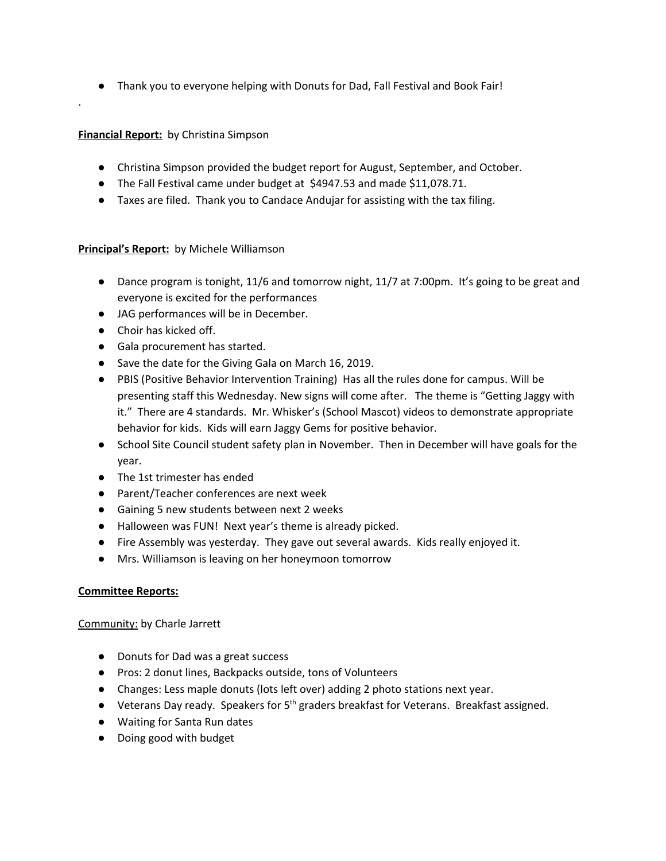● Thank you to everyone helping with Donuts for Dad, Fall Festival and Book Fair!

# **Financial Report:** by Christina Simpson

.

- Christina Simpson provided the budget report for August, September, and October.
- The Fall Festival came under budget at \$4947.53 and made \$11,078.71.
- Taxes are filed. Thank you to Candace Andujar for assisting with the tax filing.

# **Principal's Report:** by Michele Williamson

- Dance program is tonight, 11/6 and tomorrow night, 11/7 at 7:00pm. It's going to be great and everyone is excited for the performances
- JAG performances will be in December.
- Choir has kicked off.
- Gala procurement has started.
- Save the date for the Giving Gala on March 16, 2019.
- PBIS (Positive Behavior Intervention Training) Has all the rules done for campus. Will be presenting staff this Wednesday. New signs will come after. The theme is "Getting Jaggy with it." There are 4 standards. Mr. Whisker's (School Mascot) videos to demonstrate appropriate behavior for kids. Kids will earn Jaggy Gems for positive behavior.
- School Site Council student safety plan in November. Then in December will have goals for the year.
- The 1st trimester has ended
- Parent/Teacher conferences are next week
- Gaining 5 new students between next 2 weeks
- Halloween was FUN! Next year's theme is already picked.
- Fire Assembly was yesterday. They gave out several awards. Kids really enjoyed it.
- Mrs. Williamson is leaving on her honeymoon tomorrow

# **Committee Reports:**

Community: by Charle Jarrett

- Donuts for Dad was a great success
- Pros: 2 donut lines, Backpacks outside, tons of Volunteers
- Changes: Less maple donuts (lots left over) adding 2 photo stations next year.
- Veterans Day ready. Speakers for 5<sup>th</sup> graders breakfast for Veterans. Breakfast assigned.
- Waiting for Santa Run dates
- Doing good with budget